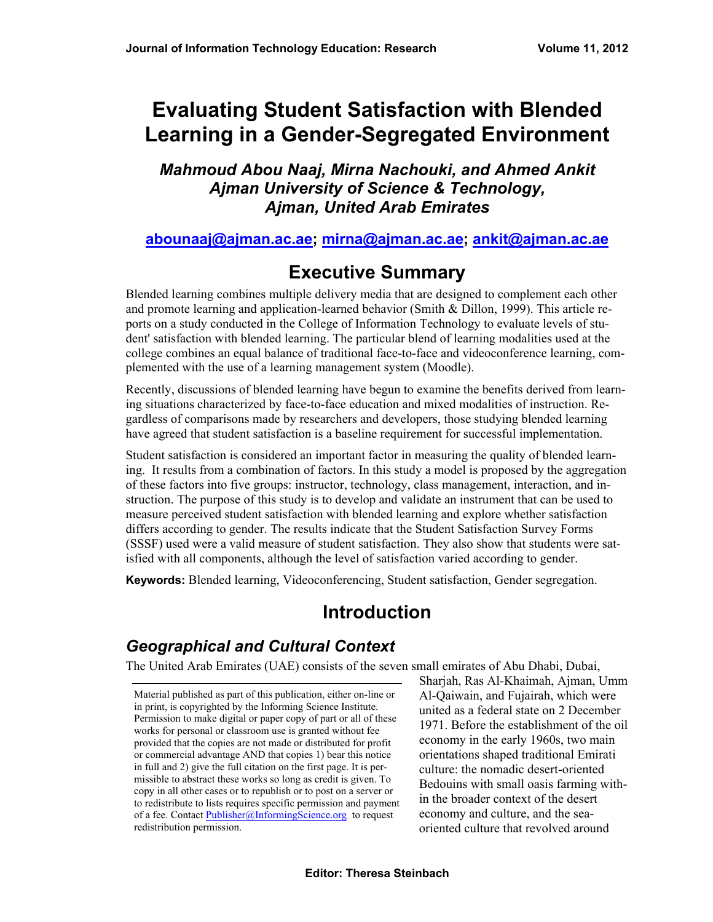# **Evaluating Student Satisfaction with Blended Learning in a Gender-Segregated Environment**

#### *Mahmoud Abou Naaj, Mirna Nachouki, and Ahmed Ankit Ajman University of Science & Technology, Ajman, United Arab Emirates*

#### **[abounaaj@ajman.ac.ae;](mailto:abounaaj@ajman.ac.ae) [mirna@ajman.ac.ae](mailto:mirna@ajman.ac.ae); [ankit@ajman.ac.ae](mailto:ankit@ajman.ac.ae)**

# **Executive Summary**

Blended learning combines multiple delivery media that are designed to complement each other and promote learning and application-learned behavior (Smith & Dillon, 1999). This article reports on a study conducted in the College of Information Technology to evaluate levels of student' satisfaction with blended learning. The particular blend of learning modalities used at the college combines an equal balance of traditional face-to-face and videoconference learning, complemented with the use of a learning management system (Moodle).

Recently, discussions of blended learning have begun to examine the benefits derived from learning situations characterized by face-to-face education and mixed modalities of instruction. Regardless of comparisons made by researchers and developers, those studying blended learning have agreed that student satisfaction is a baseline requirement for successful implementation.

Student satisfaction is considered an important factor in measuring the quality of blended learning. It results from a combination of factors. In this study a model is proposed by the aggregation of these factors into five groups: instructor, technology, class management, interaction, and instruction. The purpose of this study is to develop and validate an instrument that can be used to measure perceived student satisfaction with blended learning and explore whether satisfaction differs according to gender. The results indicate that the Student Satisfaction Survey Forms (SSSF) used were a valid measure of student satisfaction. They also show that students were satisfied with all components, although the level of satisfaction varied according to gender.

**Keywords:** Blended learning, Videoconferencing, Student satisfaction, Gender segregation.

# **Introduction**

### *Geographical and Cultural Context*

The United Arab Emirates (UAE) consists of the seven small emirates of Abu Dhabi, Dubai,

Material published as part of this publication, either on-line or in print, is copyrighted by the Informing Science Institute. Permission to make digital or paper copy of part or all of these works for personal or classroom use is granted without fee provided that the copies are not made or distributed for profit or commercial advantage AND that copies 1) bear this notice in full and 2) give the full citation on the first page. It is permissible to abstract these works so long as credit is given. To copy in all other cases or to republish or to post on a server or to redistribute to lists requires specific permission and payment of a fee. Contact [Publisher@InformingScience.org](mailto:Publisher@InformingScience.org) to request redistribution permission.

Sharjah, Ras Al-Khaimah, Ajman, Umm Al-Qaiwain, and Fujairah, which were united as a federal state on 2 December 1971. Before the establishment of the oil economy in the early 1960s, two main orientations shaped traditional Emirati culture: the nomadic desert-oriented Bedouins with small oasis farming within the broader context of the desert economy and culture, and the seaoriented culture that revolved around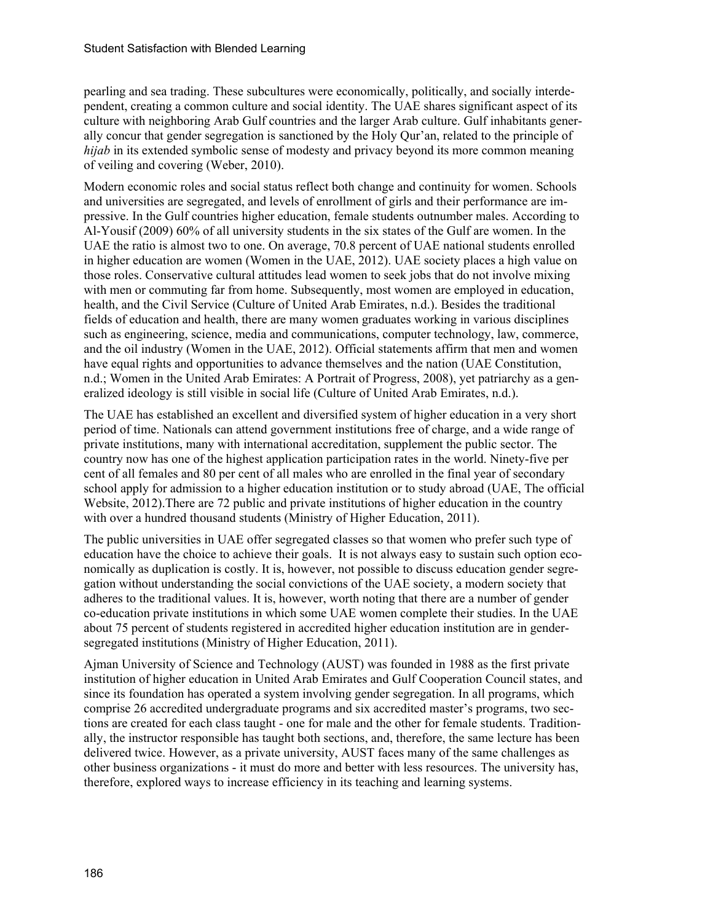pearling and sea trading. These subcultures were economically, politically, and socially interdependent, creating a common culture and social identity. The UAE shares significant aspect of its culture with neighboring Arab Gulf countries and the larger Arab culture. Gulf inhabitants generally concur that gender segregation is sanctioned by the Holy Qur'an, related to the principle of *hijab* in its extended symbolic sense of modesty and privacy beyond its more common meaning of veiling and covering (Weber, 2010).

Modern economic roles and social status reflect both change and continuity for women. Schools and universities are segregated, and levels of enrollment of girls and their performance are impressive. In the Gulf countries higher education, female students outnumber males. According to Al-Yousif (2009) 60% of all university students in the six states of the Gulf are women. In the UAE the ratio is almost two to one. On average, 70.8 percent of UAE national students enrolled in higher education are women (Women in the UAE, 2012). UAE society places a high value on those roles. Conservative cultural attitudes lead women to seek jobs that do not involve mixing with men or commuting far from home. Subsequently, most women are employed in education, health, and the Civil Service (Culture of United Arab Emirates, n.d.). Besides the traditional fields of education and health, there are many women graduates working in various disciplines such as engineering, science, media and communications, computer technology, law, commerce, and the oil industry (Women in the UAE, 2012). Official statements affirm that men and women have equal rights and opportunities to advance themselves and the nation (UAE Constitution, n.d.; Women in the United Arab Emirates: A Portrait of Progress, 2008), yet patriarchy as a generalized ideology is still visible in social life (Culture of United Arab Emirates, n.d.).

The UAE has established an excellent and diversified system of higher education in a very short period of time. Nationals can attend government institutions free of charge, and a wide range of private institutions, many with international accreditation, supplement the public sector. The country now has one of the highest application participation rates in the world. Ninety-five per cent of all females and 80 per cent of all males who are enrolled in the final year of secondary school apply for admission to a higher education institution or to study abroad (UAE, The official Website, 2012).There are 72 public and private institutions of higher education in the country with over a hundred thousand students (Ministry of Higher Education, 2011).

The public universities in UAE offer segregated classes so that women who prefer such type of education have the choice to achieve their goals. It is not always easy to sustain such option economically as duplication is costly. It is, however, not possible to discuss education gender segregation without understanding the social convictions of the UAE society, a modern society that adheres to the traditional values. It is, however, worth noting that there are a number of gender co-education private institutions in which some UAE women complete their studies. In the UAE about 75 percent of students registered in accredited higher education institution are in gendersegregated institutions (Ministry of Higher Education, 2011).

Ajman University of Science and Technology (AUST) was founded in 1988 as the first private institution of higher education in United Arab Emirates and Gulf Cooperation Council states, and since its foundation has operated a system involving gender segregation. In all programs, which comprise 26 accredited undergraduate programs and six accredited master's programs, two sections are created for each class taught - one for male and the other for female students. Traditionally, the instructor responsible has taught both sections, and, therefore, the same lecture has been delivered twice. However, as a private university, AUST faces many of the same challenges as other business organizations - it must do more and better with less resources. The university has, therefore, explored ways to increase efficiency in its teaching and learning systems.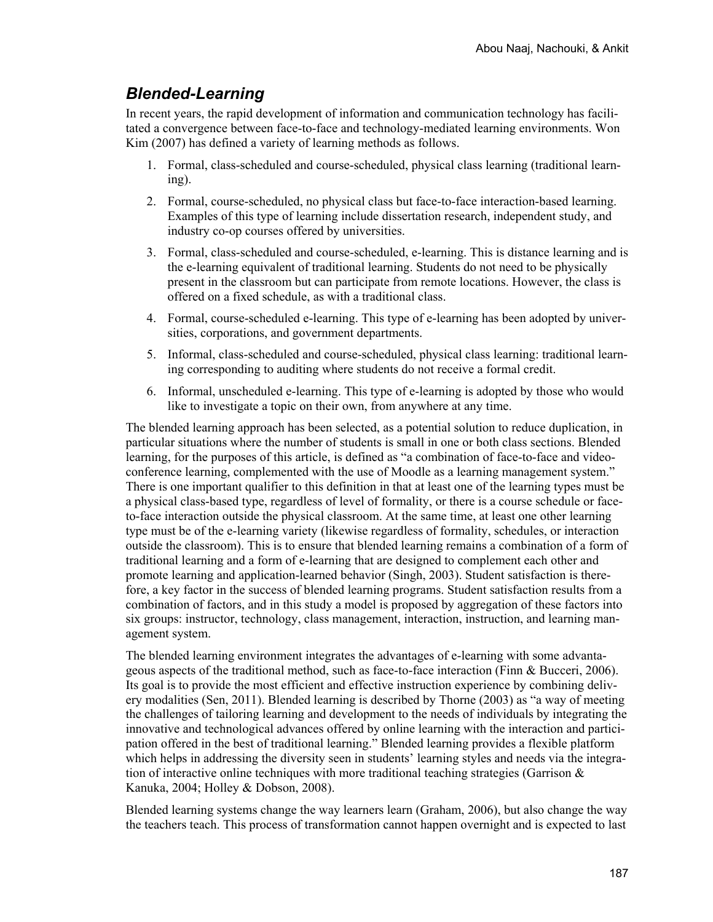#### *Blended-Learning*

In recent years, the rapid development of information and communication technology has facilitated a convergence between face-to-face and technology-mediated learning environments. Won Kim (2007) has defined a variety of learning methods as follows.

- 1. Formal, class-scheduled and course-scheduled, physical class learning (traditional learning).
- 2. Formal, course-scheduled, no physical class but face-to-face interaction-based learning. Examples of this type of learning include dissertation research, independent study, and industry co-op courses offered by universities.
- 3. Formal, class-scheduled and course-scheduled, e-learning. This is distance learning and is the e-learning equivalent of traditional learning. Students do not need to be physically present in the classroom but can participate from remote locations. However, the class is offered on a fixed schedule, as with a traditional class.
- 4. Formal, course-scheduled e-learning. This type of e-learning has been adopted by universities, corporations, and government departments.
- 5. Informal, class-scheduled and course-scheduled, physical class learning: traditional learning corresponding to auditing where students do not receive a formal credit.
- 6. Informal, unscheduled e-learning. This type of e-learning is adopted by those who would like to investigate a topic on their own, from anywhere at any time.

The blended learning approach has been selected, as a potential solution to reduce duplication, in particular situations where the number of students is small in one or both class sections. Blended learning, for the purposes of this article, is defined as "a combination of face-to-face and videoconference learning, complemented with the use of Moodle as a learning management system." There is one important qualifier to this definition in that at least one of the learning types must be a physical class-based type, regardless of level of formality, or there is a course schedule or faceto-face interaction outside the physical classroom. At the same time, at least one other learning type must be of the e-learning variety (likewise regardless of formality, schedules, or interaction outside the classroom). This is to ensure that blended learning remains a combination of a form of traditional learning and a form of e-learning that are designed to complement each other and promote learning and application-learned behavior (Singh, 2003). Student satisfaction is therefore, a key factor in the success of blended learning programs. Student satisfaction results from a combination of factors, and in this study a model is proposed by aggregation of these factors into six groups: instructor, technology, class management, interaction, instruction, and learning management system.

The blended learning environment integrates the advantages of e-learning with some advantageous aspects of the traditional method, such as face-to-face interaction (Finn & Bucceri, 2006). Its goal is to provide the most efficient and effective instruction experience by combining delivery modalities (Sen, 2011). Blended learning is described by Thorne (2003) as "a way of meeting the challenges of tailoring learning and development to the needs of individuals by integrating the innovative and technological advances offered by online learning with the interaction and participation offered in the best of traditional learning." Blended learning provides a flexible platform which helps in addressing the diversity seen in students' learning styles and needs via the integration of interactive online techniques with more traditional teaching strategies (Garrison  $\&$ Kanuka, 2004; Holley & Dobson, 2008).

Blended learning systems change the way learners learn (Graham, 2006), but also change the way the teachers teach. This process of transformation cannot happen overnight and is expected to last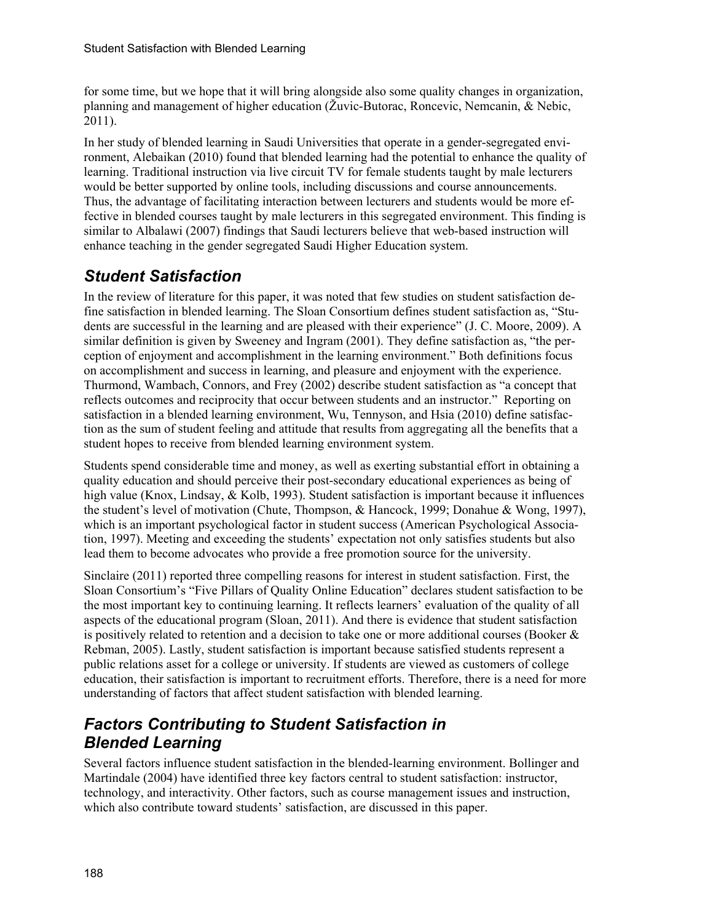for some time, but we hope that it will bring alongside also some quality changes in organization, planning and management of higher education (Žuvic-Butorac, Roncevic, Nemcanin, & Nebic, 2011).

In her study of blended learning in Saudi Universities that operate in a gender-segregated environment, Alebaikan (2010) found that blended learning had the potential to enhance the quality of learning. Traditional instruction via live circuit TV for female students taught by male lecturers would be better supported by online tools, including discussions and course announcements. Thus, the advantage of facilitating interaction between lecturers and students would be more effective in blended courses taught by male lecturers in this segregated environment. This finding is similar to Albalawi (2007) findings that Saudi lecturers believe that web-based instruction will enhance teaching in the gender segregated Saudi Higher Education system.

#### *Student Satisfaction*

In the review of literature for this paper, it was noted that few studies on student satisfaction define satisfaction in blended learning. The Sloan Consortium defines student satisfaction as, "Students are successful in the learning and are pleased with their experience" (J. C. Moore, 2009). A similar definition is given by Sweeney and Ingram (2001). They define satisfaction as, "the perception of enjoyment and accomplishment in the learning environment." Both definitions focus on accomplishment and success in learning, and pleasure and enjoyment with the experience. Thurmond, Wambach, Connors, and Frey (2002) describe student satisfaction as "a concept that reflects outcomes and reciprocity that occur between students and an instructor." Reporting on satisfaction in a blended learning environment, Wu, Tennyson, and Hsia (2010) define satisfaction as the sum of student feeling and attitude that results from aggregating all the benefits that a student hopes to receive from blended learning environment system.

Students spend considerable time and money, as well as exerting substantial effort in obtaining a quality education and should perceive their post-secondary educational experiences as being of high value (Knox, Lindsay, & Kolb, 1993). Student satisfaction is important because it influences the student's level of motivation (Chute, Thompson, & Hancock, 1999; Donahue & Wong, 1997), which is an important psychological factor in student success (American Psychological Association, 1997). Meeting and exceeding the students' expectation not only satisfies students but also lead them to become advocates who provide a free promotion source for the university.

Sinclaire (2011) reported three compelling reasons for interest in student satisfaction. First, the Sloan Consortium's "Five Pillars of Quality Online Education" declares student satisfaction to be the most important key to continuing learning. It reflects learners' evaluation of the quality of all aspects of the educational program (Sloan, 2011). And there is evidence that student satisfaction is positively related to retention and a decision to take one or more additional courses (Booker  $\&$ Rebman, 2005). Lastly, student satisfaction is important because satisfied students represent a public relations asset for a college or university. If students are viewed as customers of college education, their satisfaction is important to recruitment efforts. Therefore, there is a need for more understanding of factors that affect student satisfaction with blended learning.

#### *Factors Contributing to Student Satisfaction in Blended Learning*

Several factors influence student satisfaction in the blended-learning environment. Bollinger and Martindale (2004) have identified three key factors central to student satisfaction: instructor, technology, and interactivity. Other factors, such as course management issues and instruction, which also contribute toward students' satisfaction, are discussed in this paper.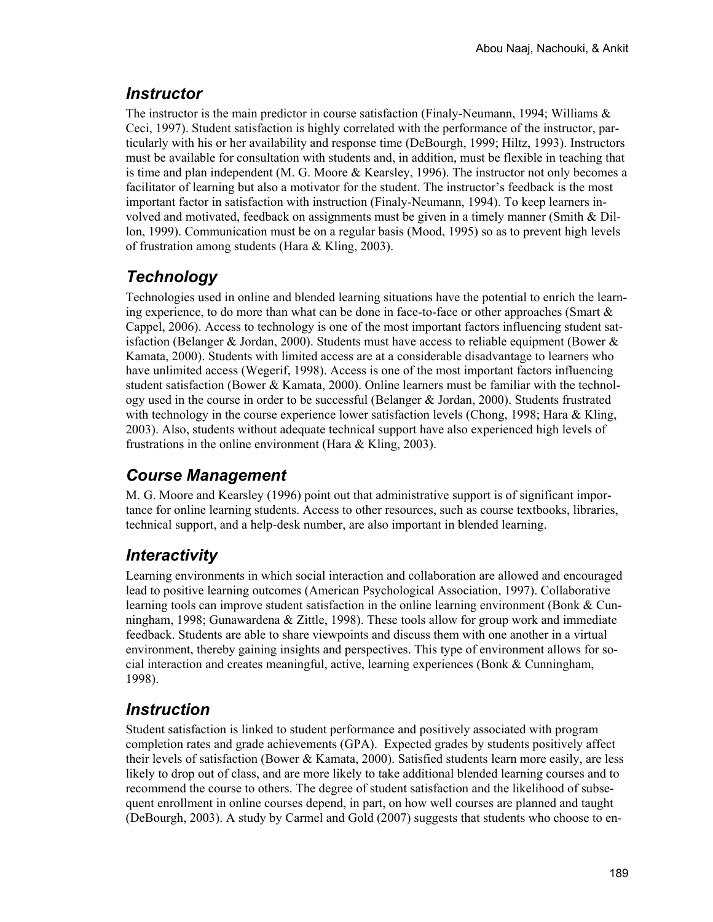### *Instructor*

The instructor is the main predictor in course satisfaction (Finaly-Neumann, 1994; Williams  $\&$ Ceci, 1997). Student satisfaction is highly correlated with the performance of the instructor, particularly with his or her availability and response time (DeBourgh, 1999; Hiltz, 1993). Instructors must be available for consultation with students and, in addition, must be flexible in teaching that is time and plan independent (M. G. Moore & Kearsley, 1996). The instructor not only becomes a facilitator of learning but also a motivator for the student. The instructor's feedback is the most important factor in satisfaction with instruction (Finaly-Neumann, 1994). To keep learners involved and motivated, feedback on assignments must be given in a timely manner (Smith & Dillon, 1999). Communication must be on a regular basis (Mood, 1995) so as to prevent high levels of frustration among students (Hara & Kling, 2003).

### *Technology*

Technologies used in online and blended learning situations have the potential to enrich the learning experience, to do more than what can be done in face-to-face or other approaches (Smart  $\&$ Cappel, 2006). Access to technology is one of the most important factors influencing student satisfaction (Belanger & Jordan, 2000). Students must have access to reliable equipment (Bower  $\&$ Kamata, 2000). Students with limited access are at a considerable disadvantage to learners who have unlimited access (Wegerif, 1998). Access is one of the most important factors influencing student satisfaction (Bower & Kamata, 2000). Online learners must be familiar with the technology used in the course in order to be successful (Belanger & Jordan, 2000). Students frustrated with technology in the course experience lower satisfaction levels (Chong, 1998; Hara  $\&$  Kling, 2003). Also, students without adequate technical support have also experienced high levels of frustrations in the online environment (Hara & Kling, 2003).

# *Course Management*

M. G. Moore and Kearsley (1996) point out that administrative support is of significant importance for online learning students. Access to other resources, such as course textbooks, libraries, technical support, and a help-desk number, are also important in blended learning.

# *Interactivity*

Learning environments in which social interaction and collaboration are allowed and encouraged lead to positive learning outcomes (American Psychological Association, 1997). Collaborative learning tools can improve student satisfaction in the online learning environment (Bonk & Cunningham, 1998; Gunawardena & Zittle, 1998). These tools allow for group work and immediate feedback. Students are able to share viewpoints and discuss them with one another in a virtual environment, thereby gaining insights and perspectives. This type of environment allows for social interaction and creates meaningful, active, learning experiences (Bonk & Cunningham, 1998).

# *Instruction*

Student satisfaction is linked to student performance and positively associated with program completion rates and grade achievements (GPA). Expected grades by students positively affect their levels of satisfaction (Bower & Kamata, 2000). Satisfied students learn more easily, are less likely to drop out of class, and are more likely to take additional blended learning courses and to recommend the course to others. The degree of student satisfaction and the likelihood of subsequent enrollment in online courses depend, in part, on how well courses are planned and taught (DeBourgh, 2003). A study by Carmel and Gold (2007) suggests that students who choose to en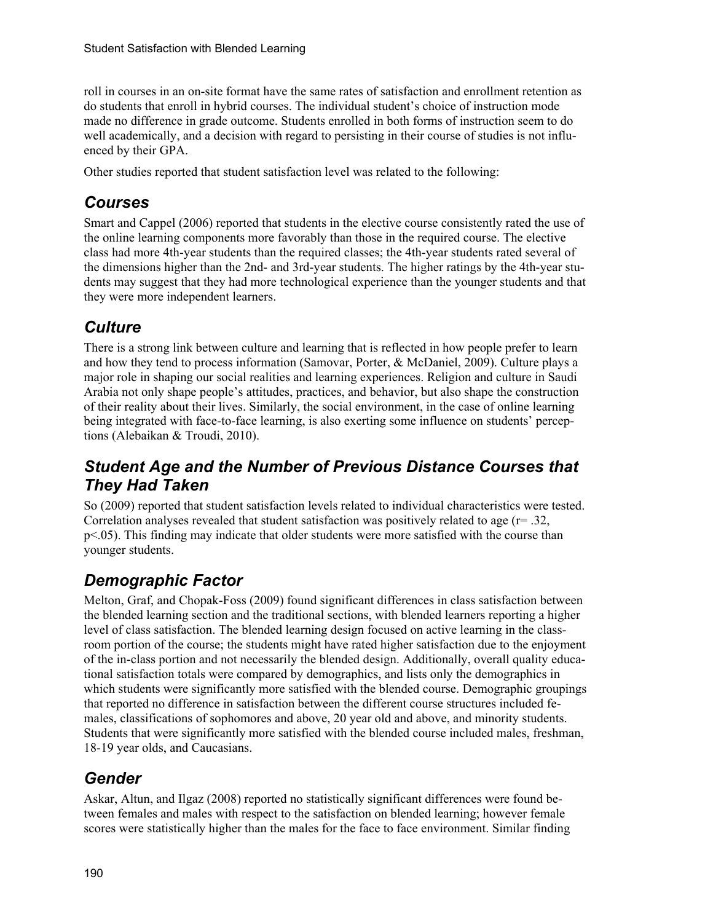roll in courses in an on-site format have the same rates of satisfaction and enrollment retention as do students that enroll in hybrid courses. The individual student's choice of instruction mode made no difference in grade outcome. Students enrolled in both forms of instruction seem to do well academically, and a decision with regard to persisting in their course of studies is not influenced by their GPA.

Other studies reported that student satisfaction level was related to the following:

#### *Courses*

Smart and Cappel (2006) reported that students in the elective course consistently rated the use of the online learning components more favorably than those in the required course. The elective class had more 4th-year students than the required classes; the 4th-year students rated several of the dimensions higher than the 2nd- and 3rd-year students. The higher ratings by the 4th-year students may suggest that they had more technological experience than the younger students and that they were more independent learners.

### *Culture*

There is a strong link between culture and learning that is reflected in how people prefer to learn and how they tend to process information (Samovar, Porter, & McDaniel, 2009). Culture plays a major role in shaping our social realities and learning experiences. Religion and culture in Saudi Arabia not only shape people's attitudes, practices, and behavior, but also shape the construction of their reality about their lives. Similarly, the social environment, in the case of online learning being integrated with face-to-face learning, is also exerting some influence on students' perceptions (Alebaikan & Troudi, 2010).

#### *Student Age and the Number of Previous Distance Courses that They Had Taken*

So (2009) reported that student satisfaction levels related to individual characteristics were tested. Correlation analyses revealed that student satisfaction was positively related to age  $(r= .32, )$ p<.05). This finding may indicate that older students were more satisfied with the course than younger students.

### *Demographic Factor*

Melton, Graf, and Chopak-Foss (2009) found significant differences in class satisfaction between the blended learning section and the traditional sections, with blended learners reporting a higher level of class satisfaction. The blended learning design focused on active learning in the classroom portion of the course; the students might have rated higher satisfaction due to the enjoyment of the in-class portion and not necessarily the blended design. Additionally, overall quality educational satisfaction totals were compared by demographics, and lists only the demographics in which students were significantly more satisfied with the blended course. Demographic groupings that reported no difference in satisfaction between the different course structures included females, classifications of sophomores and above, 20 year old and above, and minority students. Students that were significantly more satisfied with the blended course included males, freshman, 18-19 year olds, and Caucasians.

### *Gender*

Askar, Altun, and Ilgaz (2008) reported no statistically significant differences were found between females and males with respect to the satisfaction on blended learning; however female scores were statistically higher than the males for the face to face environment. Similar finding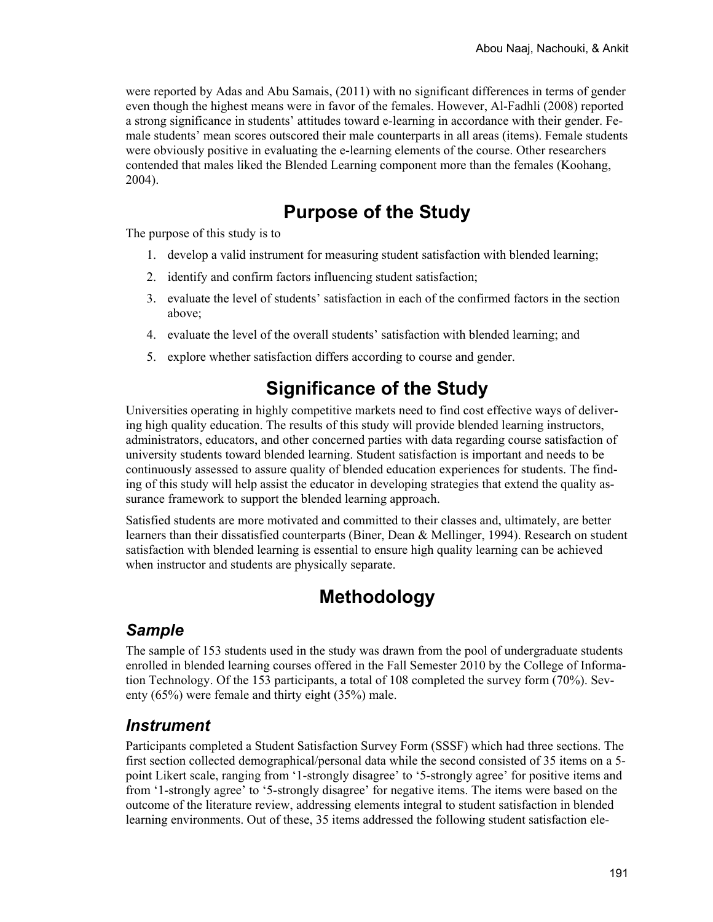were reported by Adas and Abu Samais, (2011) with no significant differences in terms of gender even though the highest means were in favor of the females. However, Al-Fadhli (2008) reported a strong significance in students' attitudes toward e-learning in accordance with their gender. Female students' mean scores outscored their male counterparts in all areas (items). Female students were obviously positive in evaluating the e-learning elements of the course. Other researchers contended that males liked the Blended Learning component more than the females (Koohang, 2004).

### **Purpose of the Study**

The purpose of this study is to

- 1. develop a valid instrument for measuring student satisfaction with blended learning;
- 2. identify and confirm factors influencing student satisfaction;
- 3. evaluate the level of students' satisfaction in each of the confirmed factors in the section above;
- 4. evaluate the level of the overall students' satisfaction with blended learning; and
- 5. explore whether satisfaction differs according to course and gender.

# **Significance of the Study**

Universities operating in highly competitive markets need to find cost effective ways of delivering high quality education. The results of this study will provide blended learning instructors, administrators, educators, and other concerned parties with data regarding course satisfaction of university students toward blended learning. Student satisfaction is important and needs to be continuously assessed to assure quality of blended education experiences for students. The finding of this study will help assist the educator in developing strategies that extend the quality assurance framework to support the blended learning approach.

Satisfied students are more motivated and committed to their classes and, ultimately, are better learners than their dissatisfied counterparts (Biner, Dean  $\&$  Mellinger, 1994). Research on student satisfaction with blended learning is essential to ensure high quality learning can be achieved when instructor and students are physically separate.

# **Methodology**

#### *Sample*

The sample of 153 students used in the study was drawn from the pool of undergraduate students enrolled in blended learning courses offered in the Fall Semester 2010 by the College of Information Technology. Of the 153 participants, a total of 108 completed the survey form (70%). Seventy (65%) were female and thirty eight (35%) male.

#### *Instrument*

Participants completed a Student Satisfaction Survey Form (SSSF) which had three sections. The first section collected demographical/personal data while the second consisted of 35 items on a 5 point Likert scale, ranging from '1-strongly disagree' to '5-strongly agree' for positive items and from '1-strongly agree' to '5-strongly disagree' for negative items. The items were based on the outcome of the literature review, addressing elements integral to student satisfaction in blended learning environments. Out of these, 35 items addressed the following student satisfaction ele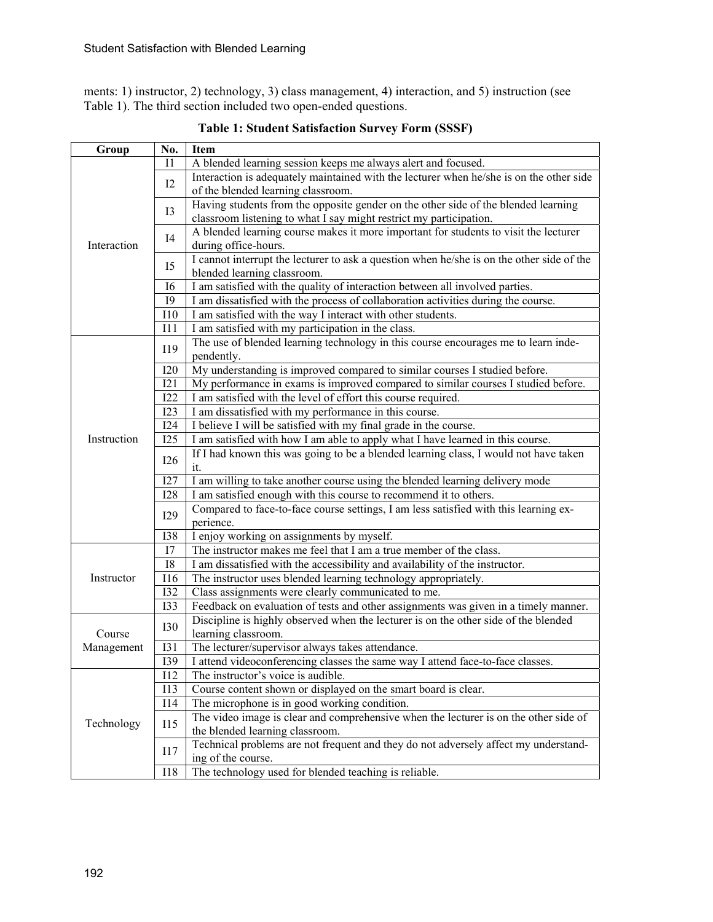ments: 1) instructor, 2) technology, 3) class management, 4) interaction, and 5) instruction (see Table 1). The third section included two open-ended questions.

| Group       | No.               | Item                                                                                                                                                                       |  |  |  |  |  |
|-------------|-------------------|----------------------------------------------------------------------------------------------------------------------------------------------------------------------------|--|--|--|--|--|
|             | 11                | A blended learning session keeps me always alert and focused.                                                                                                              |  |  |  |  |  |
|             | 12                | Interaction is adequately maintained with the lecturer when he/she is on the other side                                                                                    |  |  |  |  |  |
|             |                   | of the blended learning classroom.                                                                                                                                         |  |  |  |  |  |
|             | I3                | Having students from the opposite gender on the other side of the blended learning                                                                                         |  |  |  |  |  |
|             |                   | classroom listening to what I say might restrict my participation.                                                                                                         |  |  |  |  |  |
| Interaction | I4                | A blended learning course makes it more important for students to visit the lecturer                                                                                       |  |  |  |  |  |
|             |                   | during office-hours.                                                                                                                                                       |  |  |  |  |  |
|             | I <sub>5</sub>    | I cannot interrupt the lecturer to ask a question when he/she is on the other side of the                                                                                  |  |  |  |  |  |
|             |                   | blended learning classroom.                                                                                                                                                |  |  |  |  |  |
|             | 16                | I am satisfied with the quality of interaction between all involved parties.                                                                                               |  |  |  |  |  |
|             | <b>I9</b>         | I am dissatisfied with the process of collaboration activities during the course.                                                                                          |  |  |  |  |  |
|             | <b>I10</b>        | I am satisfied with the way I interact with other students.                                                                                                                |  |  |  |  |  |
|             | 111               | I am satisfied with my participation in the class.                                                                                                                         |  |  |  |  |  |
|             | I19               | The use of blended learning technology in this course encourages me to learn inde-                                                                                         |  |  |  |  |  |
|             |                   | pendently.                                                                                                                                                                 |  |  |  |  |  |
|             | <b>I20</b>        | My understanding is improved compared to similar courses I studied before.                                                                                                 |  |  |  |  |  |
|             | I21               | My performance in exams is improved compared to similar courses I studied before.                                                                                          |  |  |  |  |  |
|             | <b>I22</b>        | I am satisfied with the level of effort this course required.                                                                                                              |  |  |  |  |  |
|             | I23               | I am dissatisfied with my performance in this course.                                                                                                                      |  |  |  |  |  |
|             | I24               | I believe I will be satisfied with my final grade in the course.                                                                                                           |  |  |  |  |  |
| Instruction | I25               | I am satisfied with how I am able to apply what I have learned in this course.                                                                                             |  |  |  |  |  |
|             | <b>I26</b>        | If I had known this was going to be a blended learning class, I would not have taken                                                                                       |  |  |  |  |  |
|             |                   | it.                                                                                                                                                                        |  |  |  |  |  |
|             | 127               | I am willing to take another course using the blended learning delivery mode                                                                                               |  |  |  |  |  |
|             | <b>I28</b>        | I am satisfied enough with this course to recommend it to others.                                                                                                          |  |  |  |  |  |
|             | I29               | Compared to face-to-face course settings, I am less satisfied with this learning ex-<br>perience.                                                                          |  |  |  |  |  |
|             | <b>I38</b>        |                                                                                                                                                                            |  |  |  |  |  |
|             | I7                | I enjoy working on assignments by myself.<br>The instructor makes me feel that I am a true member of the class.                                                            |  |  |  |  |  |
|             | <b>I8</b>         | I am dissatisfied with the accessibility and availability of the instructor.                                                                                               |  |  |  |  |  |
| Instructor  | <b>I16</b>        |                                                                                                                                                                            |  |  |  |  |  |
|             | <b>I32</b>        | The instructor uses blended learning technology appropriately.<br>Class assignments were clearly communicated to me.                                                       |  |  |  |  |  |
|             | <b>I33</b>        |                                                                                                                                                                            |  |  |  |  |  |
|             |                   | Feedback on evaluation of tests and other assignments was given in a timely manner.<br>Discipline is highly observed when the lecturer is on the other side of the blended |  |  |  |  |  |
| Course      | <b>I30</b>        | learning classroom.                                                                                                                                                        |  |  |  |  |  |
| Management  | <b>I31</b>        | The lecturer/supervisor always takes attendance.                                                                                                                           |  |  |  |  |  |
|             | <b>I39</b>        | I attend videoconferencing classes the same way I attend face-to-face classes.                                                                                             |  |  |  |  |  |
|             | I12               | The instructor's voice is audible.                                                                                                                                         |  |  |  |  |  |
|             | I13               | Course content shown or displayed on the smart board is clear.                                                                                                             |  |  |  |  |  |
|             | I14               | The microphone is in good working condition.                                                                                                                               |  |  |  |  |  |
|             | <b>I15</b><br>117 | The video image is clear and comprehensive when the lecturer is on the other side of                                                                                       |  |  |  |  |  |
| Technology  |                   | the blended learning classroom.                                                                                                                                            |  |  |  |  |  |
|             |                   | Technical problems are not frequent and they do not adversely affect my understand-                                                                                        |  |  |  |  |  |
|             |                   | ing of the course.                                                                                                                                                         |  |  |  |  |  |
|             | <b>I18</b>        | The technology used for blended teaching is reliable.                                                                                                                      |  |  |  |  |  |

**Table 1: Student Satisfaction Survey Form (SSSF)**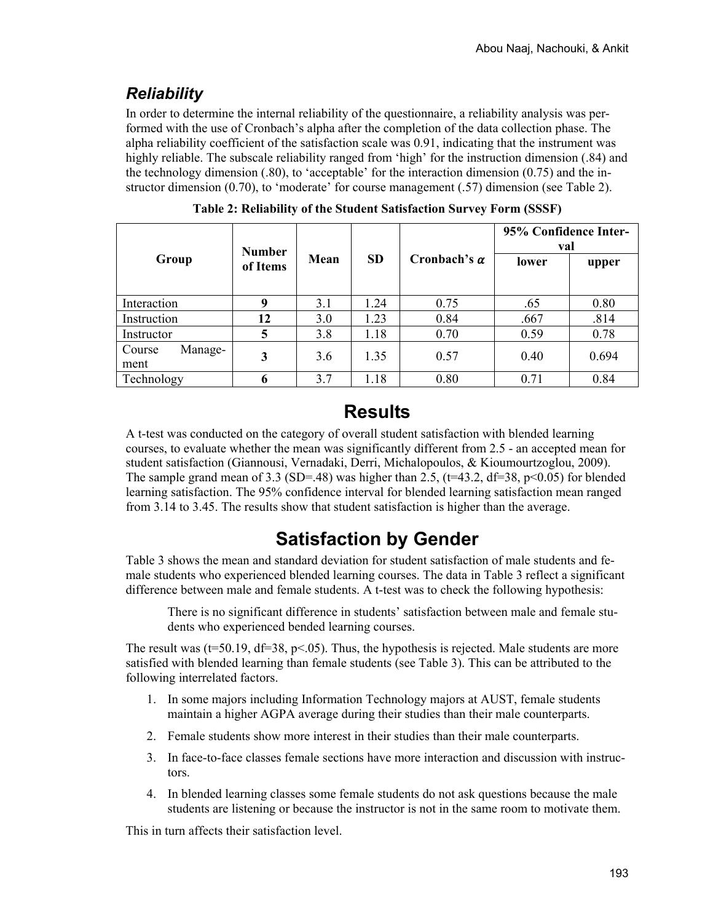### *Reliability*

In order to determine the internal reliability of the questionnaire, a reliability analysis was performed with the use of Cronbach's alpha after the completion of the data collection phase. The alpha reliability coefficient of the satisfaction scale was 0.91, indicating that the instrument was highly reliable. The subscale reliability ranged from 'high' for the instruction dimension (.84) and the technology dimension (.80), to 'acceptable' for the interaction dimension (0.75) and the instructor dimension (0.70), to 'moderate' for course management (.57) dimension (see Table 2).

|                           | <b>Number</b><br>of Items | Mean | <b>SD</b> |                     | 95% Confidence Inter-<br>val |       |
|---------------------------|---------------------------|------|-----------|---------------------|------------------------------|-------|
| Group                     |                           |      |           | Cronbach's $\alpha$ | lower                        | upper |
| Interaction               | 9                         | 3.1  | 1.24      | 0.75                | .65                          | 0.80  |
| Instruction               | 12                        | 3.0  | 1.23      | 0.84                | .667                         | .814  |
| Instructor                | 5                         | 3.8  | 1.18      | 0.70                | 0.59                         | 0.78  |
| Manage-<br>Course<br>ment | 3                         | 3.6  | 1.35      | 0.57                | 0.40                         | 0.694 |
| Technology                | 6                         | 3.7  | 1.18      | 0.80                | 0.71                         | 0.84  |

**Table 2: Reliability of the Student Satisfaction Survey Form (SSSF)** 

### **Results**

A t-test was conducted on the category of overall student satisfaction with blended learning courses, to evaluate whether the mean was significantly different from 2.5 - an accepted mean for student satisfaction (Giannousi, Vernadaki, Derri, Michalopoulos, & Kioumourtzoglou, 2009). The sample grand mean of 3.3 (SD=.48) was higher than 2.5, (t=43.2, df=38, p<0.05) for blended learning satisfaction. The 95% confidence interval for blended learning satisfaction mean ranged from 3.14 to 3.45. The results show that student satisfaction is higher than the average.

# **Satisfaction by Gender**

Table 3 shows the mean and standard deviation for student satisfaction of male students and female students who experienced blended learning courses. The data in Table 3 reflect a significant difference between male and female students. A t-test was to check the following hypothesis:

There is no significant difference in students' satisfaction between male and female students who experienced bended learning courses.

The result was ( $t=50.19$ ,  $df=38$ ,  $p<05$ ). Thus, the hypothesis is rejected. Male students are more satisfied with blended learning than female students (see Table 3). This can be attributed to the following interrelated factors.

- 1. In some majors including Information Technology majors at AUST, female students maintain a higher AGPA average during their studies than their male counterparts.
- 2. Female students show more interest in their studies than their male counterparts.
- 3. In face-to-face classes female sections have more interaction and discussion with instructors.
- 4. In blended learning classes some female students do not ask questions because the male students are listening or because the instructor is not in the same room to motivate them.

This in turn affects their satisfaction level.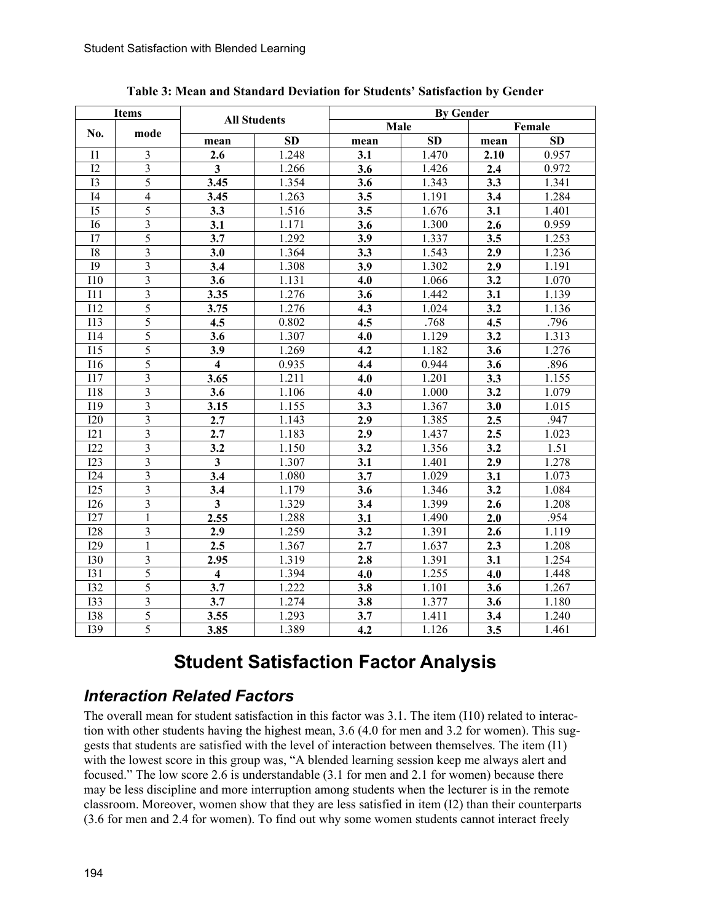| <b>Items</b>     |                          | <b>All Students</b>     |           | <b>By Gender</b> |        |      |           |  |
|------------------|--------------------------|-------------------------|-----------|------------------|--------|------|-----------|--|
| No.<br>mode      |                          |                         |           | Male             | Female |      |           |  |
|                  |                          | mean                    | <b>SD</b> | mean             | SD     | mean | <b>SD</b> |  |
| I <sub>1</sub>   | $\overline{3}$           | 2.6                     | 1.248     | 3.1              | 1.470  | 2.10 | 0.957     |  |
| 12               | $\overline{3}$           | $\overline{\mathbf{3}}$ | 1.266     | 3.6              | 1.426  | 2.4  | 0.972     |  |
| I3               | $\overline{5}$           | 3.45                    | 1.354     | 3.6              | 1.343  | 3.3  | 1.341     |  |
| I4               | $\overline{\mathcal{L}}$ | 3.45                    | 1.263     | 3.5              | 1.191  | 3.4  | 1.284     |  |
| I <sub>5</sub>   | 5                        | 3.3                     | 1.516     | 3.5              | 1.676  | 3.1  | 1.401     |  |
| I <sub>6</sub>   | 3                        | 3.1                     | 1.171     | 3.6              | 1.300  | 2.6  | 0.959     |  |
| I7               | 5                        | 3.7                     | 1.292     | 3.9              | 1.337  | 3.5  | 1.253     |  |
| <b>I8</b>        | 3                        | 3.0                     | 1.364     | 3.3              | 1.543  | 2.9  | 1.236     |  |
| <b>I9</b>        | $\overline{\mathbf{3}}$  | 3.4                     | 1.308     | 3.9              | 1.302  | 2.9  | 1.191     |  |
| <b>I10</b>       | 3                        | 3.6                     | 1.131     | 4.0              | 1.066  | 3.2  | 1.070     |  |
| I11              | $\overline{3}$           | 3.35                    | 1.276     | 3.6              | 1.442  | 3.1  | 1.139     |  |
| <b>I12</b>       | 5                        | 3.75                    | 1.276     | 4.3              | 1.024  | 3.2  | 1.136     |  |
| 113              | 5                        | 4.5                     | 0.802     | 4.5              | .768   | 4.5  | .796      |  |
| I14              | 5                        | 3.6                     | 1.307     | 4.0              | 1.129  | 3.2  | 1.313     |  |
| I15              | 5                        | 3.9                     | 1.269     | 4.2              | 1.182  | 3.6  | 1.276     |  |
| I16              | 5                        | $\overline{\mathbf{4}}$ | 0.935     | 4.4              | 0.944  | 3.6  | .896      |  |
| 117              | $\overline{\mathbf{3}}$  | 3.65                    | 1.211     | 4.0              | 1.201  | 3.3  | 1.155     |  |
| <b>I18</b>       | 3                        | 3.6                     | 1.106     | 4.0              | 1.000  | 3.2  | 1.079     |  |
| I19              | $\overline{3}$           | 3.15                    | 1.155     | 3.3              | 1.367  | 3.0  | 1.015     |  |
| <b>I20</b>       | $\overline{\mathbf{3}}$  | 2.7                     | 1.143     | 2.9              | 1.385  | 2.5  | .947      |  |
| I21              | $\overline{3}$           | 2.7                     | 1.183     | 2.9              | 1.437  | 2.5  | 1.023     |  |
| I22              | 3                        | 3.2                     | 1.150     | 3.2              | 1.356  | 3.2  | 1.51      |  |
| I23              | $\overline{\mathbf{3}}$  | $\overline{\mathbf{3}}$ | 1.307     | 3.1              | 1.401  | 2.9  | 1.278     |  |
| I24              | 3                        | 3.4                     | 1.080     | 3.7              | 1.029  | 3.1  | 1.073     |  |
| I25              | $\overline{\mathbf{3}}$  | 3.4                     | 1.179     | 3.6              | 1.346  | 3.2  | 1.084     |  |
| <b>I26</b>       | 3                        | $\overline{\mathbf{3}}$ | 1.329     | 3.4              | 1.399  | 2.6  | 1.208     |  |
| I27              | $\mathbf{1}$             | 2.55                    | 1.288     | 3.1              | 1.490  | 2.0  | .954      |  |
| <b>I28</b>       | 3                        | 2.9                     | 1.259     | 3.2              | 1.391  | 2.6  | 1.119     |  |
| I29              | $\mathbf{1}$             | 2.5                     | 1.367     | 2.7              | 1.637  | 2.3  | 1.208     |  |
| 130              | $\mathfrak{Z}$           | 2.95                    | 1.319     | 2.8              | 1.391  | 3.1  | 1.254     |  |
| <b>I31</b>       | 5                        | $\overline{\mathbf{4}}$ | 1.394     | 4.0              | 1.255  | 4.0  | 1.448     |  |
| <b>I32</b>       | 5                        | 3.7                     | 1.222     | 3.8              | 1.101  | 3.6  | 1.267     |  |
| <b>I33</b>       | 3                        | 3.7                     | 1.274     | 3.8              | 1.377  | 3.6  | 1.180     |  |
| <b>I38</b>       | 5                        | 3.55                    | 1.293     | 3.7              | 1.411  | 3.4  | 1.240     |  |
| $\overline{139}$ | $\overline{5}$           | 3.85                    | 1.389     | 4.2              | 1.126  | 3.5  | 1.461     |  |

**Table 3: Mean and Standard Deviation for Students' Satisfaction by Gender** 

# **Student Satisfaction Factor Analysis**

#### *Interaction Related Factors*

The overall mean for student satisfaction in this factor was 3.1. The item (I10) related to interaction with other students having the highest mean, 3.6 (4.0 for men and 3.2 for women). This suggests that students are satisfied with the level of interaction between themselves. The item (I1) with the lowest score in this group was, "A blended learning session keep me always alert and focused." The low score 2.6 is understandable (3.1 for men and 2.1 for women) because there may be less discipline and more interruption among students when the lecturer is in the remote classroom. Moreover, women show that they are less satisfied in item (I2) than their counterparts (3.6 for men and 2.4 for women). To find out why some women students cannot interact freely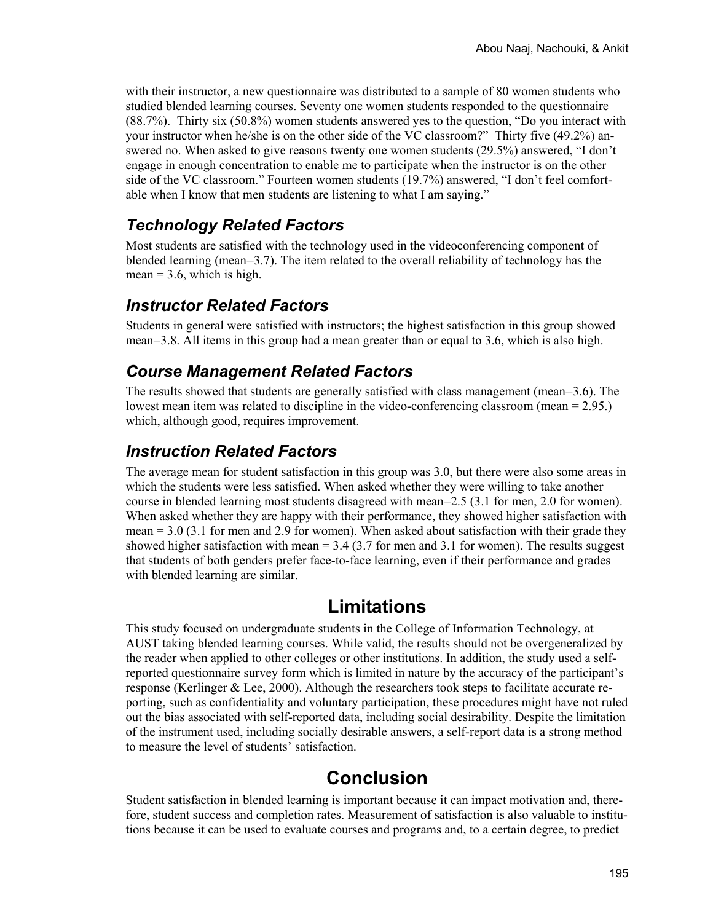with their instructor, a new questionnaire was distributed to a sample of 80 women students who studied blended learning courses. Seventy one women students responded to the questionnaire (88.7%). Thirty six (50.8%) women students answered yes to the question, "Do you interact with your instructor when he/she is on the other side of the VC classroom?" Thirty five (49.2%) answered no. When asked to give reasons twenty one women students (29.5%) answered, "I don't engage in enough concentration to enable me to participate when the instructor is on the other side of the VC classroom." Fourteen women students (19.7%) answered, "I don't feel comfortable when I know that men students are listening to what I am saying."

### *Technology Related Factors*

Most students are satisfied with the technology used in the videoconferencing component of blended learning (mean=3.7). The item related to the overall reliability of technology has the  $mean = 3.6$ , which is high.

#### *Instructor Related Factors*

Students in general were satisfied with instructors; the highest satisfaction in this group showed mean=3.8. All items in this group had a mean greater than or equal to 3.6, which is also high.

#### *Course Management Related Factors*

The results showed that students are generally satisfied with class management (mean=3.6). The lowest mean item was related to discipline in the video-conferencing classroom (mean = 2.95.) which, although good, requires improvement.

### *Instruction Related Factors*

The average mean for student satisfaction in this group was 3.0, but there were also some areas in which the students were less satisfied. When asked whether they were willing to take another course in blended learning most students disagreed with mean=2.5 (3.1 for men, 2.0 for women). When asked whether they are happy with their performance, they showed higher satisfaction with mean = 3.0 (3.1 for men and 2.9 for women). When asked about satisfaction with their grade they showed higher satisfaction with mean  $= 3.4$  (3.7 for men and 3.1 for women). The results suggest that students of both genders prefer face-to-face learning, even if their performance and grades with blended learning are similar.

### **Limitations**

This study focused on undergraduate students in the College of Information Technology, at AUST taking blended learning courses. While valid, the results should not be overgeneralized by the reader when applied to other colleges or other institutions. In addition, the study used a selfreported questionnaire survey form which is limited in nature by the accuracy of the participant's response (Kerlinger & Lee, 2000). Although the researchers took steps to facilitate accurate reporting, such as confidentiality and voluntary participation, these procedures might have not ruled out the bias associated with self-reported data, including social desirability. Despite the limitation of the instrument used, including socially desirable answers, a self-report data is a strong method to measure the level of students' satisfaction.

# **Conclusion**

Student satisfaction in blended learning is important because it can impact motivation and, therefore, student success and completion rates. Measurement of satisfaction is also valuable to institutions because it can be used to evaluate courses and programs and, to a certain degree, to predict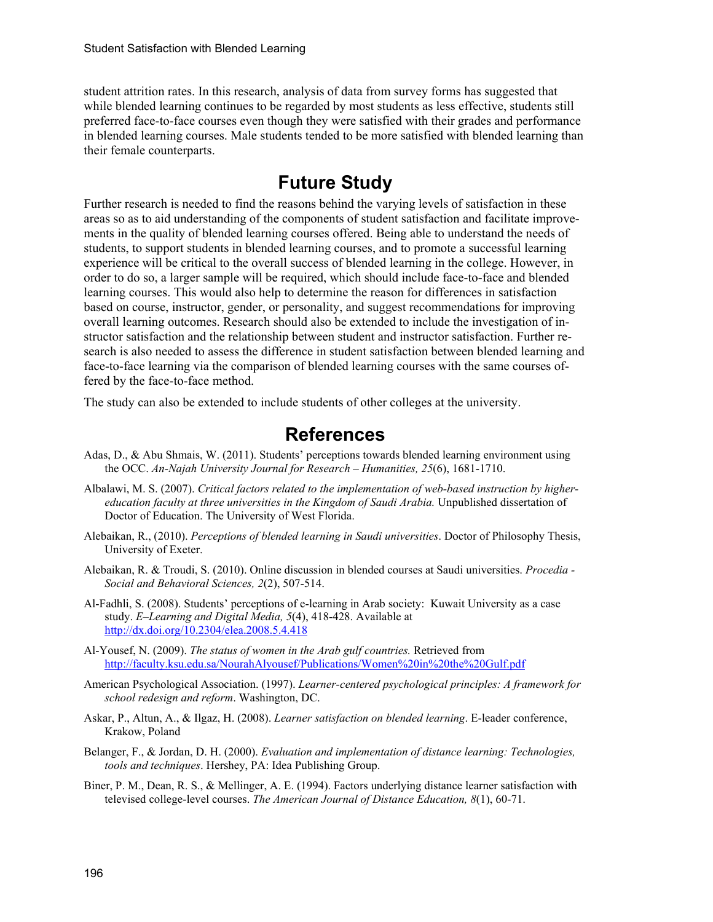student attrition rates. In this research, analysis of data from survey forms has suggested that while blended learning continues to be regarded by most students as less effective, students still preferred face-to-face courses even though they were satisfied with their grades and performance in blended learning courses. Male students tended to be more satisfied with blended learning than their female counterparts.

### **Future Study**

Further research is needed to find the reasons behind the varying levels of satisfaction in these areas so as to aid understanding of the components of student satisfaction and facilitate improvements in the quality of blended learning courses offered. Being able to understand the needs of students, to support students in blended learning courses, and to promote a successful learning experience will be critical to the overall success of blended learning in the college. However, in order to do so, a larger sample will be required, which should include face-to-face and blended learning courses. This would also help to determine the reason for differences in satisfaction based on course, instructor, gender, or personality, and suggest recommendations for improving overall learning outcomes. Research should also be extended to include the investigation of instructor satisfaction and the relationship between student and instructor satisfaction. Further research is also needed to assess the difference in student satisfaction between blended learning and face-to-face learning via the comparison of blended learning courses with the same courses offered by the face-to-face method.

The study can also be extended to include students of other colleges at the university.

#### **References**

- Adas, D., & Abu Shmais, W. (2011). Students' perceptions towards blended learning environment using the OCC. *An-Najah University Journal for Research – Humanities, 25*(6), 1681-1710.
- Albalawi, M. S. (2007). *Critical factors related to the implementation of web-based instruction by highereducation faculty at three universities in the Kingdom of Saudi Arabia.* Unpublished dissertation of Doctor of Education. The University of West Florida.
- Alebaikan, R., (2010). *Perceptions of blended learning in Saudi universities*. Doctor of Philosophy Thesis, University of Exeter.
- Alebaikan, R. & Troudi, S. (2010). Online discussion in blended courses at Saudi universities. *Procedia Social and Behavioral Sciences, 2*(2), 507-514.
- Al-Fadhli, S. (2008). Students' perceptions of e-learning in Arab society: Kuwait University as a case study. *E–Learning and Digital Media, 5*(4), 418-428. Available at <http://dx.doi.org/10.2304/elea.2008.5.4.418>
- Al-Yousef, N. (2009). *The status of women in the Arab gulf countries.* Retrieved from <http://faculty.ksu.edu.sa/NourahAlyousef/Publications/Women%20in%20the%20Gulf.pdf>
- American Psychological Association. (1997). *Learner-centered psychological principles: A framework for school redesign and reform*. Washington, DC.
- Askar, P., Altun, A., & Ilgaz, H. (2008). *Learner satisfaction on blended learning*. E-leader conference, Krakow, Poland
- Belanger, F., & Jordan, D. H. (2000). *Evaluation and implementation of distance learning: Technologies, tools and techniques*. Hershey, PA: Idea Publishing Group.
- Biner, P. M., Dean, R. S., & Mellinger, A. E. (1994). Factors underlying distance learner satisfaction with televised college-level courses. *The American Journal of Distance Education, 8*(1), 60-71.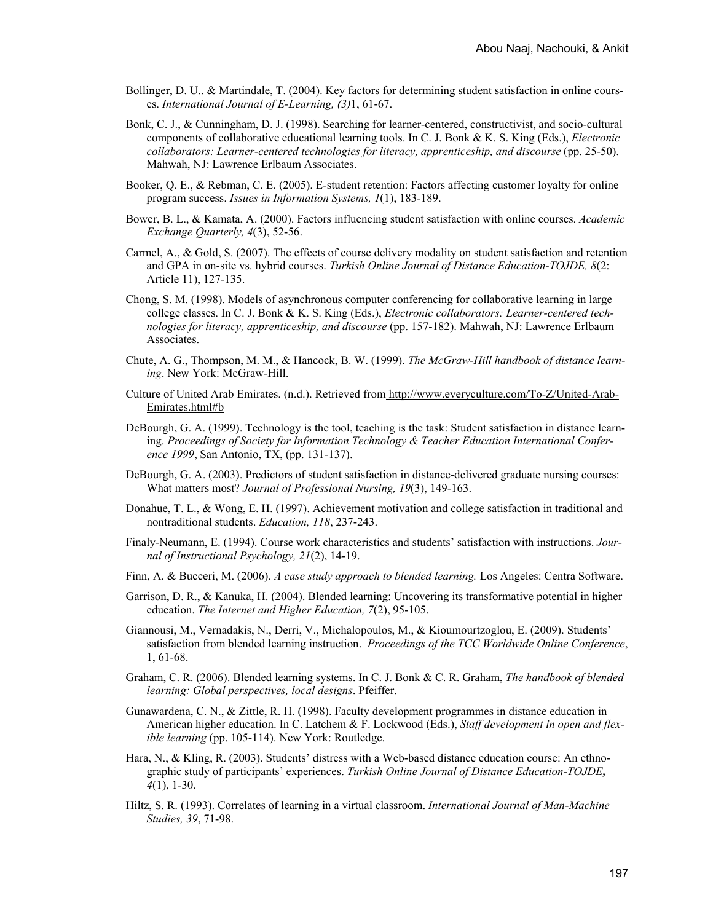- Bollinger, D. U.. & Martindale, T. (2004). Key factors for determining student satisfaction in online courses. *International Journal of E-Learning, (3)*1, 61-67.
- Bonk, C. J., & Cunningham, D. J. (1998). Searching for learner-centered, constructivist, and socio-cultural components of collaborative educational learning tools. In C. J. Bonk & K. S. King (Eds.), *Electronic collaborators: Learner-centered technologies for literacy, apprenticeship, and discourse* (pp. 25-50). Mahwah, NJ: Lawrence Erlbaum Associates.
- Booker, Q. E., & Rebman, C. E. (2005). E-student retention: Factors affecting customer loyalty for online program success. *Issues in Information Systems, 1*(1), 183-189.
- Bower, B. L., & Kamata, A. (2000). Factors influencing student satisfaction with online courses. *Academic Exchange Quarterly, 4*(3), 52-56.
- Carmel, A., & Gold, S. (2007). The effects of course delivery modality on student satisfaction and retention and GPA in on-site vs. hybrid courses. *Turkish Online Journal of Distance Education-TOJDE, 8*(2: Article 11), 127-135.
- Chong, S. M. (1998). Models of asynchronous computer conferencing for collaborative learning in large college classes. In C. J. Bonk & K. S. King (Eds.), *Electronic collaborators: Learner-centered technologies for literacy, apprenticeship, and discourse* (pp. 157-182). Mahwah, NJ: Lawrence Erlbaum Associates.
- Chute, A. G., Thompson, M. M., & Hancock, B. W. (1999). *The McGraw-Hill handbook of distance learning*. New York: McGraw-Hill.
- Culture of United Arab Emirates. (n.d.). Retrieved from [http://www.everyculture.com/To-Z/United-Arab-](http://www.everyculture.com/To-Z/United-Arab-Emirates.html#b)[Emirates.html#b](http://www.everyculture.com/To-Z/United-Arab-Emirates.html#b)
- DeBourgh, G. A. (1999). Technology is the tool, teaching is the task: Student satisfaction in distance learning. *Proceedings of Society for Information Technology & Teacher Education International Conference 1999*, San Antonio, TX, (pp. 131-137).
- DeBourgh, G. A. (2003). Predictors of student satisfaction in distance-delivered graduate nursing courses: What matters most? *Journal of Professional Nursing, 19*(3), 149-163.
- Donahue, T. L., & Wong, E. H. (1997). Achievement motivation and college satisfaction in traditional and nontraditional students. *Education, 118*, 237-243.
- Finaly-Neumann, E. (1994). Course work characteristics and students' satisfaction with instructions. *Journal of Instructional Psychology, 21*(2), 14-19.
- Finn, A. & Bucceri, M. (2006). *A case study approach to blended learning.* Los Angeles: Centra Software.
- Garrison, D. R., & Kanuka, H. (2004). Blended learning: Uncovering its transformative potential in higher education. *The Internet and Higher Education, 7*(2), 95-105.
- Giannousi, M., Vernadakis, N., Derri, V., Michalopoulos, M., & Kioumourtzoglou, E. (2009). Students' satisfaction from blended learning instruction. *Proceedings of the TCC Worldwide Online Conference*, 1, 61-68.
- Graham, C. R. (2006). Blended learning systems. In C. J. Bonk & C. R. Graham, *The handbook of blended learning: Global perspectives, local designs*. Pfeiffer.
- Gunawardena, C. N., & Zittle, R. H. (1998). Faculty development programmes in distance education in American higher education. In C. Latchem & F. Lockwood (Eds.), *Staff development in open and flexible learning* (pp. 105-114). New York: Routledge.
- Hara, N., & Kling, R. (2003). Students' distress with a Web-based distance education course: An ethnographic study of participants' experiences. *Turkish Online Journal of Distance Education-TOJDE, 4*(1), 1-30.
- Hiltz, S. R. (1993). Correlates of learning in a virtual classroom. *International Journal of Man-Machine Studies, 39*, 71-98.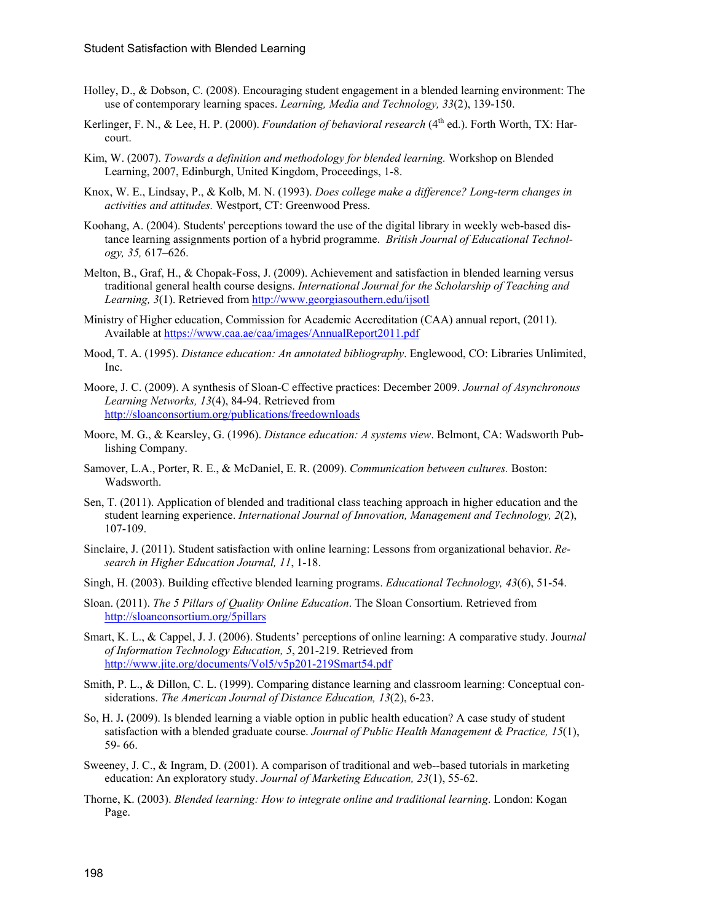- Holley, D., & Dobson, C. (2008). Encouraging student engagement in a blended learning environment: The use of contemporary learning spaces. *Learning, Media and Technology, 33*(2), 139-150.
- Kerlinger, F. N., & Lee, H. P. (2000). *Foundation of behavioral research* (4<sup>th</sup> ed.). Forth Worth, TX: Harcourt.
- Kim, W. (2007). *Towards a definition and methodology for blended learning.* Workshop on Blended Learning, 2007, Edinburgh, United Kingdom, Proceedings, 1-8.
- Knox, W. E., Lindsay, P., & Kolb, M. N. (1993). *Does college make a difference? Long-term changes in activities and attitudes.* Westport, CT: Greenwood Press.
- Koohang, A. (2004). Students' perceptions toward the use of the digital library in weekly web-based distance learning assignments portion of a hybrid programme. *British Journal of Educational Technology, 35,* 617–626.
- Melton, B., Graf, H., & Chopak-Foss, J. (2009). Achievement and satisfaction in blended learning versus traditional general health course designs. *International Journal for the Scholarship of Teaching and Learning, 3*(1). Retrieved from <http://www.georgiasouthern.edu/ijsotl>
- Ministry of Higher education, Commission for Academic Accreditation (CAA) annual report, (2011). Available at<https://www.caa.ae/caa/images/AnnualReport2011.pdf>
- Mood, T. A. (1995). *Distance education: An annotated bibliography*. Englewood, CO: Libraries Unlimited, Inc.
- Moore, J. C. (2009). A synthesis of Sloan-C effective practices: December 2009. *Journal of Asynchronous Learning Networks, 13*(4), 84-94. Retrieved from <http://sloanconsortium.org/publications/freedownloads>
- Moore, M. G., & Kearsley, G. (1996). *Distance education: A systems view*. Belmont, CA: Wadsworth Publishing Company.
- Samover, L.A., Porter, R. E., & McDaniel, E. R. (2009). *Communication between cultures.* Boston: Wadsworth.
- Sen, T. (2011). Application of blended and traditional class teaching approach in higher education and the student learning experience. *International Journal of Innovation, Management and Technology, 2*(2), 107-109.
- Sinclaire, J. (2011). Student satisfaction with online learning: Lessons from organizational behavior. *Research in Higher Education Journal, 11*, 1-18.
- Singh, H. (2003). Building effective blended learning programs. *Educational Technology, 43*(6), 51-54.
- Sloan. (2011). *The 5 Pillars of Quality Online Education*. The Sloan Consortium. Retrieved from <http://sloanconsortium.org/5pillars>
- Smart, K. L., & Cappel, J. J. (2006). Students' perceptions of online learning: A comparative study. Jour*nal of Information Technology Education, 5*, 201-219. Retrieved from <http://www.jite.org/documents/Vol5/v5p201-219Smart54.pdf>
- Smith, P. L., & Dillon, C. L. (1999). Comparing distance learning and classroom learning: Conceptual considerations. *The American Journal of Distance Education, 13*(2), 6-23.
- So, H. J**.** (2009). Is blended learning a viable option in public health education? A case study of student satisfaction with a blended graduate course. *Journal of Public Health Management & Practice, 15*(1), 59- 66.
- Sweeney, J. C., & Ingram, D. (2001). A comparison of traditional and web--based tutorials in marketing education: An exploratory study. *Journal of Marketing Education, 23*(1), 55-62.
- Thorne, K. (2003). *Blended learning: How to integrate online and traditional learning*. London: Kogan Page.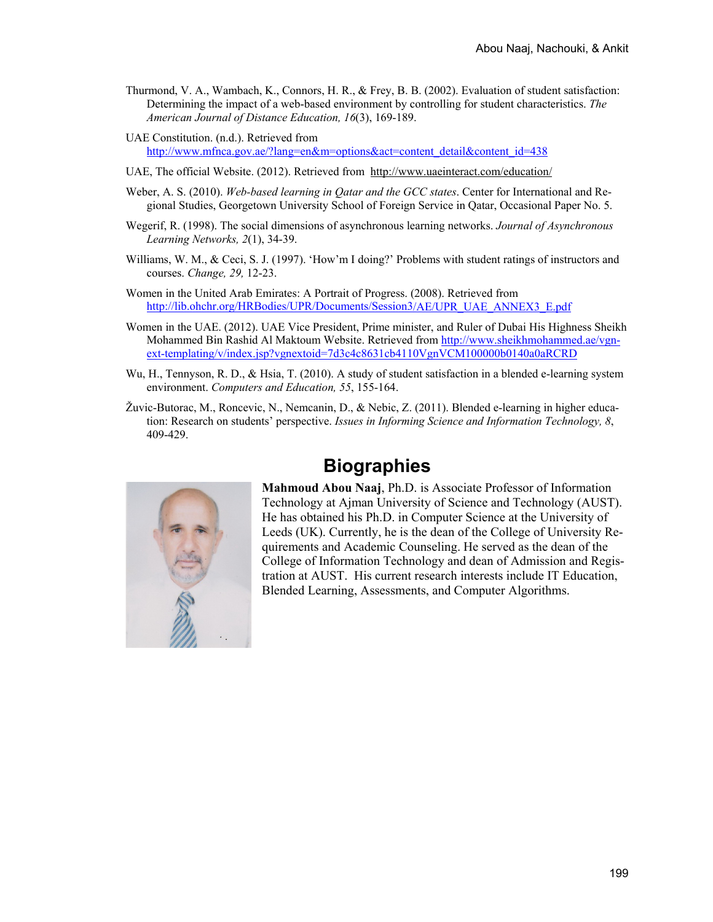Thurmond, V. A., Wambach, K., Connors, H. R., & Frey, B. B. (2002). Evaluation of student satisfaction: Determining the impact of a web-based environment by controlling for student characteristics. *The American Journal of Distance Education, 16*(3), 169-189.

UAE Constitution. (n.d.). Retrieved from [http://www.mfnca.gov.ae/?lang=en&m=options&act=content\\_detail&content\\_id=438](http://www.mfnca.gov.ae/?lang=en&m=options&act=content_detail&content_id=438)

- UAE, The official Website. (2012). Retrieved from <http://www.uaeinteract.com/education/>
- Weber, A. S. (2010). *Web-based learning in Qatar and the GCC states*. Center for International and Regional Studies, Georgetown University School of Foreign Service in Qatar, Occasional Paper No. 5.
- Wegerif, R. (1998). The social dimensions of asynchronous learning networks. *Journal of Asynchronous Learning Networks, 2*(1), 34-39.
- Williams, W. M., & Ceci, S. J. (1997). 'How'm I doing?' Problems with student ratings of instructors and courses. *Change, 29,* 12-23.
- Women in the United Arab Emirates: A Portrait of Progress. (2008). Retrieved from [http://lib.ohchr.org/HRBodies/UPR/Documents/Session3/AE/UPR\\_UAE\\_ANNEX3\\_E.pdf](http://lib.ohchr.org/HRBodies/UPR/Documents/Session3/AE/UPR_UAE_ANNEX3_E.pdf)
- Women in the UAE. (2012). UAE Vice President, Prime minister, and Ruler of Dubai His Highness Sheikh Mohammed Bin Rashid Al Maktoum Website. Retrieved from [http://www.sheikhmohammed.ae/vgn](http://www.sheikhmohammed.ae/vgn-ext-templating/v/index.jsp?vgnextoid=7d3c4c8631cb4110VgnVCM100000b0140a0aRCRD)[ext-templating/v/index.jsp?vgnextoid=7d3c4c8631cb4110VgnVCM100000b0140a0aRCRD](http://www.sheikhmohammed.ae/vgn-ext-templating/v/index.jsp?vgnextoid=7d3c4c8631cb4110VgnVCM100000b0140a0aRCRD)
- Wu, H., Tennyson, R. D., & Hsia, T. (2010). A study of student satisfaction in a blended e-learning system environment. *Computers and Education, 55*, 155-164.
- Žuvic-Butorac, M., Roncevic, N., Nemcanin, D., & Nebic, Z. (2011). Blended e-learning in higher education: Research on students' perspective. *Issues in Informing Science and Information Technology, 8*, 409-429.



## **Biographies**

**Mahmoud Abou Naaj**, Ph.D. is Associate Professor of Information Technology at Ajman University of Science and Technology (AUST). He has obtained his Ph.D. in Computer Science at the University of Leeds (UK). Currently, he is the dean of the College of University Requirements and Academic Counseling. He served as the dean of the College of Information Technology and dean of Admission and Registration at AUST. His current research interests include IT Education, Blended Learning, Assessments, and Computer Algorithms.